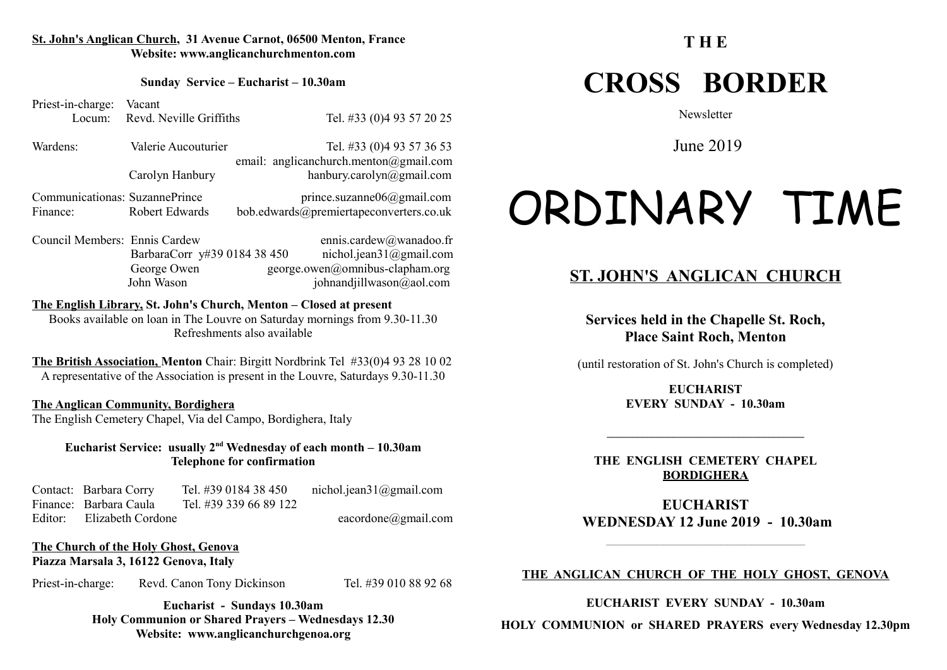#### **St. John's Anglican Church, 31 Avenue Carnot, 06500 Menton, France Website: www.anglicanchurchmenton.com**

#### **Sunday Service – Eucharist – 10.30am**

Priest-in-charge: Vacant Locum: Revd. Neville Griffiths Tel. #33 (0) 4 93 57 20 25

Wardens: Valerie Aucouturier Tel. #33 (0)4 93 57 36 53 email: anglicanchurch.menton@gmail.com Carolyn Hanbury hanbury.carolyn@gmail.com

Communicationas: SuzannePrince prince.suzanne06@gmail.com Finance: Robert Edwards bob.edwards@premiertapeconverters.co.uk

Council Members: Ennis Cardew ennis.cardew@wanadoo.fr BarbaraCorr y#39 0184 38 450 nichol.jean31@gmail.com George Owen george.owen@omnibus-clapham.org John Wason johnandjillwason@aol.com

#### **The English Library, St. John's Church, Menton – Closed at present** Books available on loan in The Louvre on Saturday mornings from 9.30-11.30 Refreshments also available

**The British Association, Menton** Chair: Birgitt Nordbrink Tel #33(0)4 93 28 10 02 A representative of the Association is present in the Louvre, Saturdays 9.30-11.30

#### **The Anglican Community, Bordighera**

The English Cemetery Chapel, Via del Campo, Bordighera, Italy

**Eucharist Service: usually 2nd Wednesday of each month – 10.30am Telephone for confirmation**

Contact: Barbara Corry Tel. #39 0184 38 450 nichol.jean31@gmail.com Finance: Barbara Caula Tel. #39 339 66 89 122 Editor: Elizabeth Cordone eacordone eacordone eacordone eacordone eacordone eacordone eacordone eacordone eacordone eacordone eacordone eacordone eacordone eacordone eacordone eacordone eacordone eacordone eacordone eacord

#### **The Church of the Holy Ghost, Genova Piazza Marsala 3, 16122 Genova, Italy**

Priest-in-charge: Revd. Canon Tony Dickinson Tel. #39 010 88 92 68

**Eucharist - Sundays 10.30am Holy Communion or Shared Prayers – Wednesdays 12.30 Website: www.anglicanchurchgenoa.org**

#### **T H E**

## **CROSS BORDER**

**Newsletter** 

June 2019

# ORDINARY TIME

#### **ST. JOHN'S ANGLICAN CHURCH**

**Services held in the Chapelle St. Roch, Place Saint Roch, Menton**

(until restoration of St. John's Church is completed)

**EUCHARIST EVERY SUNDAY - 10.30am**

**\_\_\_\_\_\_\_\_\_\_\_\_\_\_\_\_\_\_\_\_\_\_\_\_\_\_\_\_\_\_\_\_\_\_\_\_\_\_\_**

**THE ENGLISH CEMETERY CHAPEL BORDIGHERA**

**EUCHARIST WEDNESDAY 12 June 2019 - 10.30am**

#### **THE ANGLICAN CHURCH OF THE HOLY GHOST, GENOVA**

**EUCHARIST EVERY SUNDAY - 10.30am**

**HOLY COMMUNION or SHARED PRAYERS every Wednesday 12.30pm**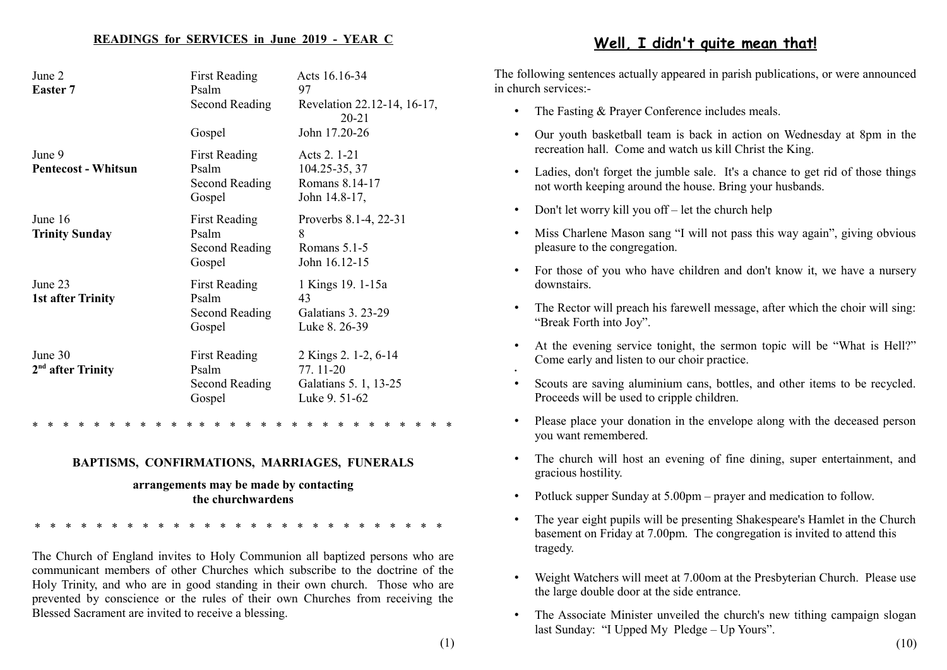#### **READINGS for SERVICES in June 2019 - YEAR C**

| June 2<br>Easter 7                   | <b>First Reading</b><br>Psalm<br><b>Second Reading</b>    | Acts 16.16-34<br>97<br>Revelation 22.12-14, 16-17,<br>$20 - 21$            |
|--------------------------------------|-----------------------------------------------------------|----------------------------------------------------------------------------|
|                                      | Gospel                                                    | John 17.20-26                                                              |
| June 9<br><b>Pentecost - Whitsun</b> | <b>First Reading</b><br>Psalm<br>Second Reading<br>Gospel | Acts 2. 1-21<br>104.25-35, 37<br>Romans 8.14-17<br>John 14.8-17,           |
| June 16<br><b>Trinity Sunday</b>     | <b>First Reading</b><br>Psalm<br>Second Reading<br>Gospel | Proverbs 8.1-4, 22-31<br>8<br>Romans $5.1-5$<br>John 16.12-15              |
| June 23<br><b>1st after Trinity</b>  | <b>First Reading</b><br>Psalm<br>Second Reading<br>Gospel | 1 Kings 19. 1-15a<br>43<br>Galatians 3. 23-29<br>Luke 8. 26-39             |
| June 30<br>$2nd$ after Trinity       | <b>First Reading</b><br>Psalm<br>Second Reading<br>Gospel | 2 Kings 2. 1-2, 6-14<br>77.11-20<br>Galatians 5. 1, 13-25<br>Luke 9. 51-62 |

\* \* \* \* \* \* \* \* \* \* \* \* \* \* \* \* \* \* \* \* \* \* \* \* \* \* \* \*

#### **BAPTISMS, CONFIRMATIONS, MARRIAGES, FUNERALS**

#### **arrangements may be made by contacting the churchwardens**

\* \* \* \* \* \* \* \* \* \* \* \* \* \* \* \* \* \* \* \* \* \* \* \* \* \* \*

The Church of England invites to Holy Communion all baptized persons who are communicant members of other Churches which subscribe to the doctrine of the Holy Trinity, and who are in good standing in their own church. Those who are prevented by conscience or the rules of their own Churches from receiving the Blessed Sacrament are invited to receive a blessing.

#### **Well, I didn't quite mean that!**

The following sentences actually appeared in parish publications, or were announced in church services:-

- The Fasting & Prayer Conference includes meals.
- Our youth basketball team is back in action on Wednesday at 8pm in the recreation hall. Come and watch us kill Christ the King.
- Ladies, don't forget the jumble sale. It's a chance to get rid of those things not worth keeping around the house. Bring your husbands.
- Don't let worry kill you off let the church help
- Miss Charlene Mason sang "I will not pass this way again", giving obvious pleasure to the congregation.
- For those of you who have children and don't know it, we have a nursery downstairs.
- The Rector will preach his farewell message, after which the choir will sing: "Break Forth into Joy".
- At the evening service tonight, the sermon topic will be "What is Hell?" Come early and listen to our choir practice.
- Scouts are saving aluminium cans, bottles, and other items to be recycled. Proceeds will be used to cripple children.
- Please place your donation in the envelope along with the deceased person you want remembered.
- The church will host an evening of fine dining, super entertainment, and gracious hostility.
- Potluck supper Sunday at 5.00pm prayer and medication to follow.
- The year eight pupils will be presenting Shakespeare's Hamlet in the Church basement on Friday at 7.00pm. The congregation is invited to attend this tragedy.
- Weight Watchers will meet at 7.00om at the Presbyterian Church. Please use the large double door at the side entrance.
- The Associate Minister unveiled the church's new tithing campaign slogan last Sunday: "I Upped My Pledge – Up Yours".

•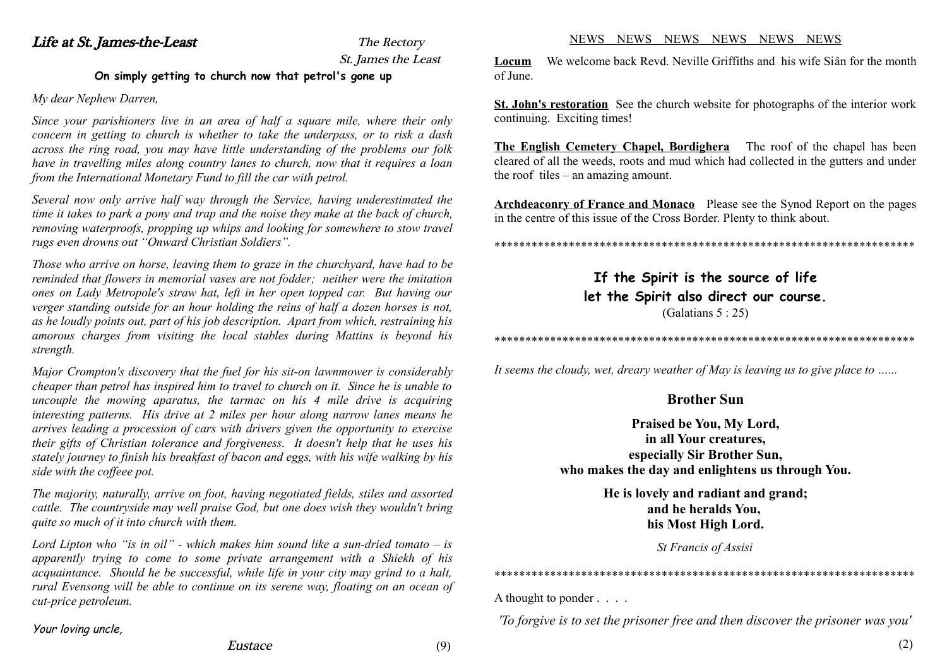#### Life at St. James-the-Least The Rectory St. James the Least **On simply getting to church now that petrol's gone up**

#### *My dear Nephew Darren,*

*Since your parishioners live in an area of half a square mile, where their only concern in getting to church is whether to take the underpass, or to risk a dash across the ring road, you may have little understanding of the problems our folk have in travelling miles along country lanes to church, now that it requires a loan from the International Monetary Fund to fill the car with petrol.*

*Several now only arrive half way through the Service, having underestimated the time it takes to park a pony and trap and the noise they make at the back of church, removing waterproofs, propping up whips and looking for somewhere to stow travel rugs even drowns out "Onward Christian Soldiers".*

*Those who arrive on horse, leaving them to graze in the churchyard, have had to be reminded that flowers in memorial vases are not fodder; neither were the imitation ones on Lady Metropole's straw hat, left in her open topped car. But having our verger standing outside for an hour holding the reins of half a dozen horses is not, as he loudly points out, part of his job description. Apart from which, restraining his amorous charges from visiting the local stables during Mattins is beyond his strength.*

*Major Crompton's discovery that the fuel for his sit-on lawnmower is considerably cheaper than petrol has inspired him to travel to church on it. Since he is unable to uncouple the mowing aparatus, the tarmac on his 4 mile drive is acquiring interesting patterns. His drive at 2 miles per hour along narrow lanes means he arrives leading a procession of cars with drivers given the opportunity to exercise their gifts of Christian tolerance and forgiveness. It doesn't help that he uses his stately journey to finish his breakfast of bacon and eggs, with his wife walking by his side with the coffeee pot.*

*The majority, naturally, arrive on foot, having negotiated fields, stiles and assorted cattle. The countryside may well praise God, but one does wish they wouldn't bring quite so much of it into church with them.*

*Lord Lipton who "is in oil" - which makes him sound like a sun-dried tomato – is apparently trying to come to some private arrangement with a Shiekh of his acquaintance. Should he be successful, while life in your city may grind to a halt, rural Evensong will be able to continue on its serene way, floating on an ocean of cut-price petroleum.*

#### Your loving uncle,

#### NEWS NEWS NEWS NEWS NEWS NEWS

**Locum** We welcome back Revd. Neville Griffiths and his wife Siân for the month of June.

**St. John's restoration** See the church website for photographs of the interior work continuing. Exciting times!

**The English Cemetery Chapel, Bordighera** The roof of the chapel has been cleared of all the weeds, roots and mud which had collected in the gutters and under the roof tiles – an amazing amount.

**Archdeaconry of France and Monaco** Please see the Synod Report on the pages in the centre of this issue of the Cross Border. Plenty to think about.

\*\*\*\*\*\*\*\*\*\*\*\*\*\*\*\*\*\*\*\*\*\*\*\*\*\*\*\*\*\*\*\*\*\*\*\*\*\*\*\*\*\*\*\*\*\*\*\*\*\*\*\*\*\*\*\*\*\*\*\*\*\*\*\*\*\*\*\*

#### **If the Spirit is the source of life let the Spirit also direct our course.** (Galatians 5 : 25)

\*\*\*\*\*\*\*\*\*\*\*\*\*\*\*\*\*\*\*\*\*\*\*\*\*\*\*\*\*\*\*\*\*\*\*\*\*\*\*\*\*\*\*\*\*\*\*\*\*\*\*\*\*\*\*\*\*\*\*\*\*\*\*\*\*\*\*\*

*It seems the cloudy, wet, dreary weather of May is leaving us to give place to …...*

#### **Brother Sun**

#### **Praised be You, My Lord, in all Your creatures, especially Sir Brother Sun, who makes the day and enlightens us through You.**

**He is lovely and radiant and grand; and he heralds You, his Most High Lord.**

*St Francis of Assisi*

\*\*\*\*\*\*\*\*\*\*\*\*\*\*\*\*\*\*\*\*\*\*\*\*\*\*\*\*\*\*\*\*\*\*\*\*\*\*\*\*\*\*\*\*\*\*\*\*\*\*\*\*\*\*\*\*\*\*\*\*\*\*\*\*\*\*\*\*

A thought to ponder . . . .

*'To forgive is to set the prisoner free and then discover the prisoner was you'*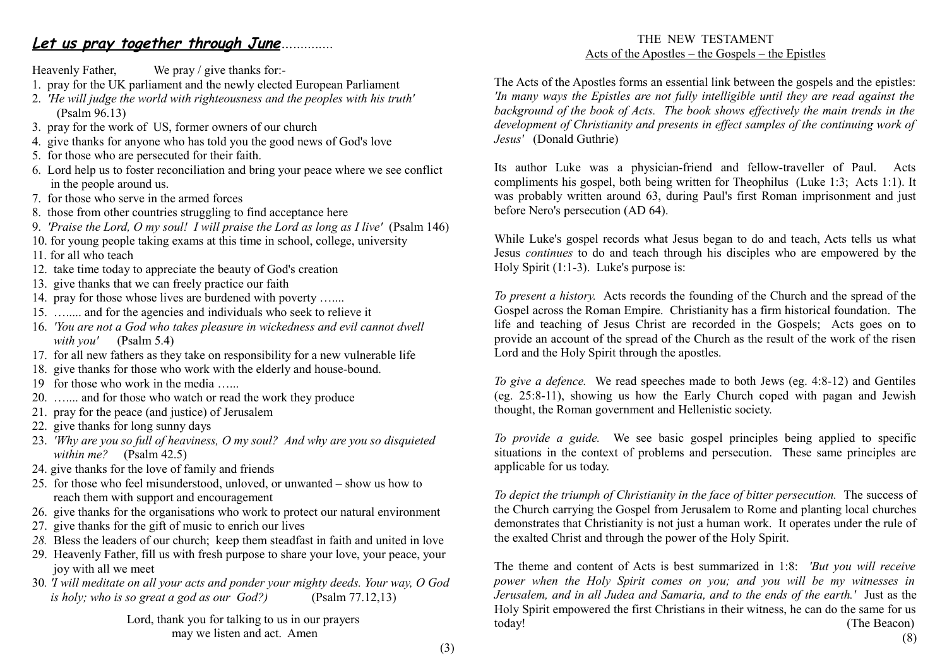#### **Let us pray together through June***…...........*

Heavenly Father, We pray / give thanks for:-

- 1. pray for the UK parliament and the newly elected European Parliament
- 2. *'He will judge the world with righteousness and the peoples with his truth'* (Psalm 96.13)
- 3. pray for the work of US, former owners of our church
- 4. give thanks for anyone who has told you the good news of God's love
- 5. for those who are persecuted for their faith.
- 6. Lord help us to foster reconciliation and bring your peace where we see conflict in the people around us.
- 7. for those who serve in the armed forces
- 8. those from other countries struggling to find acceptance here
- 9. *'Praise the Lord, O my soul! I will praise the Lord as long as I live'* (Psalm 146)
- 10. for young people taking exams at this time in school, college, university
- 11. for all who teach
- 12. take time today to appreciate the beauty of God's creation
- 13. give thanks that we can freely practice our faith
- 14. pray for those whose lives are burdened with poverty …....
- 15. …..... and for the agencies and individuals who seek to relieve it
- 16. *'You are not a God who takes pleasure in wickedness and evil cannot dwell with you'* (Psalm 5.4)
- 17. for all new fathers as they take on responsibility for a new vulnerable life
- 18. give thanks for those who work with the elderly and house-bound.
- 19 for those who work in the media …...
- 20. ….... and for those who watch or read the work they produce
- 21. pray for the peace (and justice) of Jerusalem
- 22. give thanks for long sunny days
- 23. *'Why are you so full of heaviness, O my soul? And why are you so disquieted within me?* (Psalm 42.5)
- 24. give thanks for the love of family and friends
- 25. for those who feel misunderstood, unloved, or unwanted show us how to reach them with support and encouragement
- 26. give thanks for the organisations who work to protect our natural environment
- 27. give thanks for the gift of music to enrich our lives
- *28.* Bless the leaders of our church; keep them steadfast in faith and united in love
- 29. Heavenly Father, fill us with fresh purpose to share your love, your peace, your joy with all we meet
- 30*. 'I will meditate on all your acts and ponder your mighty deeds. Your way, O God is holy; who is so great a god as our God?)* (Psalm 77.12,13)

Lord, thank you for talking to us in our prayers may we listen and act. Amen

#### THE NEW TESTAMENT Acts of the Apostles – the Gospels – the Epistles

The Acts of the Apostles forms an essential link between the gospels and the epistles: *'In many ways the Epistles are not fully intelligible until they are read against the background of the book of Acts. The book shows effectively the main trends in the development of Christianity and presents in effect samples of the continuing work of Jesus'* (Donald Guthrie)

Its author Luke was a physician-friend and fellow-traveller of Paul. Acts compliments his gospel, both being written for Theophilus (Luke 1:3; Acts 1:1). It was probably written around 63, during Paul's first Roman imprisonment and just before Nero's persecution (AD 64).

While Luke's gospel records what Jesus began to do and teach, Acts tells us what Jesus *continues* to do and teach through his disciples who are empowered by the Holy Spirit (1:1-3). Luke's purpose is:

*To present a history.* Acts records the founding of the Church and the spread of the Gospel across the Roman Empire. Christianity has a firm historical foundation. The life and teaching of Jesus Christ are recorded in the Gospels; Acts goes on to provide an account of the spread of the Church as the result of the work of the risen Lord and the Holy Spirit through the apostles.

*To give a defence.* We read speeches made to both Jews (eg. 4:8-12) and Gentiles (eg. 25:8-11), showing us how the Early Church coped with pagan and Jewish thought, the Roman government and Hellenistic society.

*To provide a guide.* We see basic gospel principles being applied to specific situations in the context of problems and persecution. These same principles are applicable for us today.

*To depict the triumph of Christianity in the face of bitter persecution.* The success of the Church carrying the Gospel from Jerusalem to Rome and planting local churches demonstrates that Christianity is not just a human work. It operates under the rule of the exalted Christ and through the power of the Holy Spirit.

The theme and content of Acts is best summarized in 1:8: *'But you will receive power when the Holy Spirit comes on you; and you will be my witnesses in Jerusalem, and in all Judea and Samaria, and to the ends of the earth.'* Just as the Holy Spirit empowered the first Christians in their witness, he can do the same for us today! (The Beacon) (8)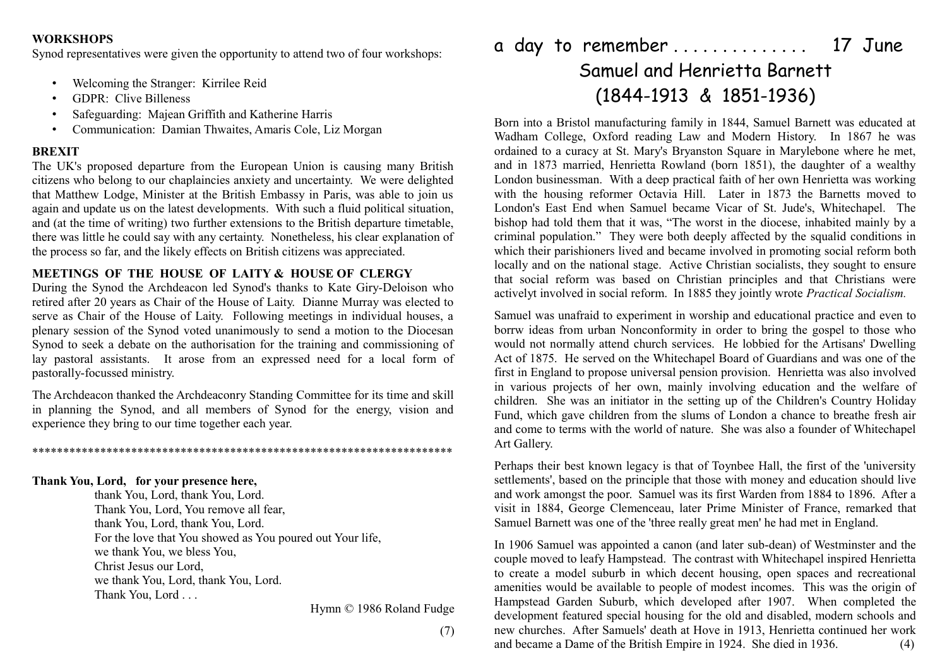#### **WORKSHOPS**

Synod representatives were given the opportunity to attend two of four workshops:

- Welcoming the Stranger: Kirrilee Reid
- GDPR: Clive Billeness
- Safeguarding: Majean Griffith and Katherine Harris
- Communication: Damian Thwaites, Amaris Cole, Liz Morgan

#### **BREXIT**

The UK's proposed departure from the European Union is causing many British citizens who belong to our chaplaincies anxiety and uncertainty. We were delighted that Matthew Lodge, Minister at the British Embassy in Paris, was able to join us again and update us on the latest developments. With such a fluid political situation, and (at the time of writing) two further extensions to the British departure timetable, there was little he could say with any certainty. Nonetheless, his clear explanation of the process so far, and the likely effects on British citizens was appreciated.

#### **MEETINGS OF THE HOUSE OF LAITY & HOUSE OF CLERGY**

During the Synod the Archdeacon led Synod's thanks to Kate Giry-Deloison who retired after 20 years as Chair of the House of Laity. Dianne Murray was elected to serve as Chair of the House of Laity. Following meetings in individual houses, a plenary session of the Synod voted unanimously to send a motion to the Diocesan Synod to seek a debate on the authorisation for the training and commissioning of lay pastoral assistants. It arose from an expressed need for a local form of pastorally-focussed ministry.

The Archdeacon thanked the Archdeaconry Standing Committee for its time and skill in planning the Synod, and all members of Synod for the energy, vision and experience they bring to our time together each year.

#### \*\*\*\*\*\*\*\*\*\*\*\*\*\*\*\*\*\*\*\*\*\*\*\*\*\*\*\*\*\*\*\*\*\*\*\*\*\*\*\*\*\*\*\*\*\*\*\*\*\*\*\*\*\*\*\*\*\*\*\*\*\*\*\*\*\*\*\*

#### **Thank You, Lord, for your presence here,**

thank You, Lord, thank You, Lord. Thank You, Lord, You remove all fear, thank You, Lord, thank You, Lord. For the love that You showed as You poured out Your life, we thank You, we bless You, Christ Jesus our Lord, we thank You, Lord, thank You, Lord. Thank You, Lord . . .

Hymn © 1986 Roland Fudge

(7)

a day to remember . . . . . . . . . . . . . . 17 June Samuel and Henrietta Barnett (1844-1913 & 1851-1936)

Born into a Bristol manufacturing family in 1844, Samuel Barnett was educated at Wadham College, Oxford reading Law and Modern History. In 1867 he was ordained to a curacy at St. Mary's Bryanston Square in Marylebone where he met, and in 1873 married, Henrietta Rowland (born 1851), the daughter of a wealthy London businessman. With a deep practical faith of her own Henrietta was working with the housing reformer Octavia Hill. Later in 1873 the Barnetts moved to London's East End when Samuel became Vicar of St. Jude's, Whitechapel. The bishop had told them that it was, "The worst in the diocese, inhabited mainly by a criminal population." They were both deeply affected by the squalid conditions in which their parishioners lived and became involved in promoting social reform both locally and on the national stage. Active Christian socialists, they sought to ensure that social reform was based on Christian principles and that Christians were activelyt involved in social reform. In 1885 they jointly wrote *Practical Socialism.*

Samuel was unafraid to experiment in worship and educational practice and even to borrw ideas from urban Nonconformity in order to bring the gospel to those who would not normally attend church services. He lobbied for the Artisans' Dwelling Act of 1875. He served on the Whitechapel Board of Guardians and was one of the first in England to propose universal pension provision. Henrietta was also involved in various projects of her own, mainly involving education and the welfare of children. She was an initiator in the setting up of the Children's Country Holiday Fund, which gave children from the slums of London a chance to breathe fresh air and come to terms with the world of nature. She was also a founder of Whitechapel Art Gallery.

Perhaps their best known legacy is that of Toynbee Hall, the first of the 'university settlements', based on the principle that those with money and education should live and work amongst the poor. Samuel was its first Warden from 1884 to 1896. After a visit in 1884, George Clemenceau, later Prime Minister of France, remarked that Samuel Barnett was one of the 'three really great men' he had met in England.

In 1906 Samuel was appointed a canon (and later sub-dean) of Westminster and the couple moved to leafy Hampstead. The contrast with Whitechapel inspired Henrietta to create a model suburb in which decent housing, open spaces and recreational amenities would be available to people of modest incomes. This was the origin of Hampstead Garden Suburb, which developed after 1907. When completed the development featured special housing for the old and disabled, modern schools and new churches. After Samuels' death at Hove in 1913, Henrietta continued her work and became a Dame of the British Empire in 1924. She died in 1936. (4)